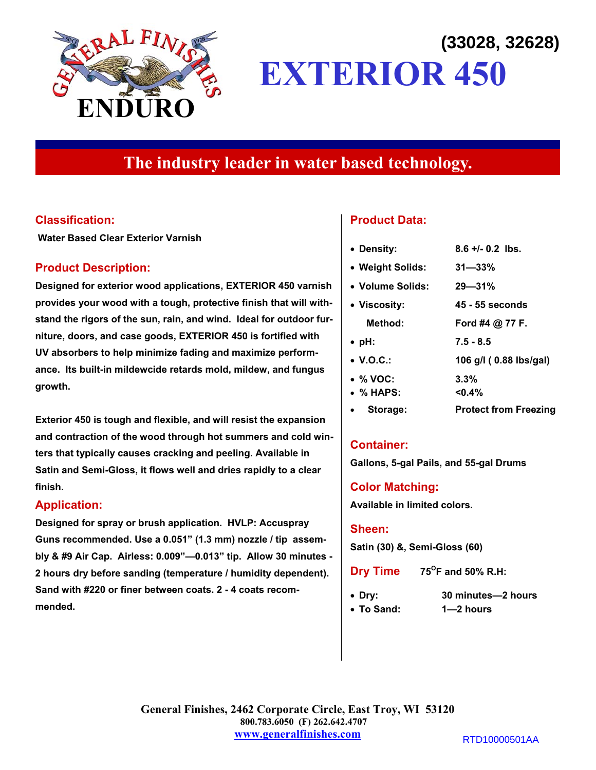

# **EXTERIOR 450 (33028, 32628)**

## **The industry leader in water based technology.**

### **Classification:**

 **Water Based Clear Exterior Varnish** 

### **Product Description:**

**Designed for exterior wood applications, EXTERIOR 450 varnish provides your wood with a tough, protective finish that will withstand the rigors of the sun, rain, and wind. Ideal for outdoor furniture, doors, and case goods, EXTERIOR 450 is fortified with UV absorbers to help minimize fading and maximize performance. Its built-in mildewcide retards mold, mildew, and fungus growth.** 

**Exterior 450 is tough and flexible, and will resist the expansion and contraction of the wood through hot summers and cold winters that typically causes cracking and peeling. Available in Satin and Semi-Gloss, it flows well and dries rapidly to a clear finish.**

### **Application:**

**Designed for spray or brush application. HVLP: Accuspray Guns recommended. Use a 0.051" (1.3 mm) nozzle / tip assembly & #9 Air Cap. Airless: 0.009"—0.013" tip. Allow 30 minutes - 2 hours dry before sanding (temperature / humidity dependent). Sand with #220 or finer between coats. 2 - 4 coats recommended.**

### **Product Data:**

| • Density:        | $8.6 + 0.2$ lbs.             |
|-------------------|------------------------------|
| • Weight Solids:  | $31 - 33%$                   |
| • Volume Solids:  | $29 - 31%$                   |
| • Viscosity:      | 45 - 55 seconds              |
| Method:           | Ford #4 $@$ 77 F.            |
| $\bullet$ pH:     | $7.5 - 8.5$                  |
| $\bullet$ V.O.C.: | 106 g/l (0.88 lbs/gal)       |
| $\bullet$ % VOC:  | 3.3%                         |
| $\bullet$ % HAPS: | < 0.4%                       |
| Storage:          | <b>Protect from Freezing</b> |
|                   |                              |

### **Container:**

**Gallons, 5-gal Pails, and 55-gal Drums** 

### **Color Matching:**

**Available in limited colors.** 

#### **Sheen:**

**Satin (30) &, Semi-Gloss (60)** 

**Dry Time** 75<sup>°</sup>F and 50% R.H:

- x **To Sand: 1—2 hours**
- x **Dry: 30 minutes—2 hours**